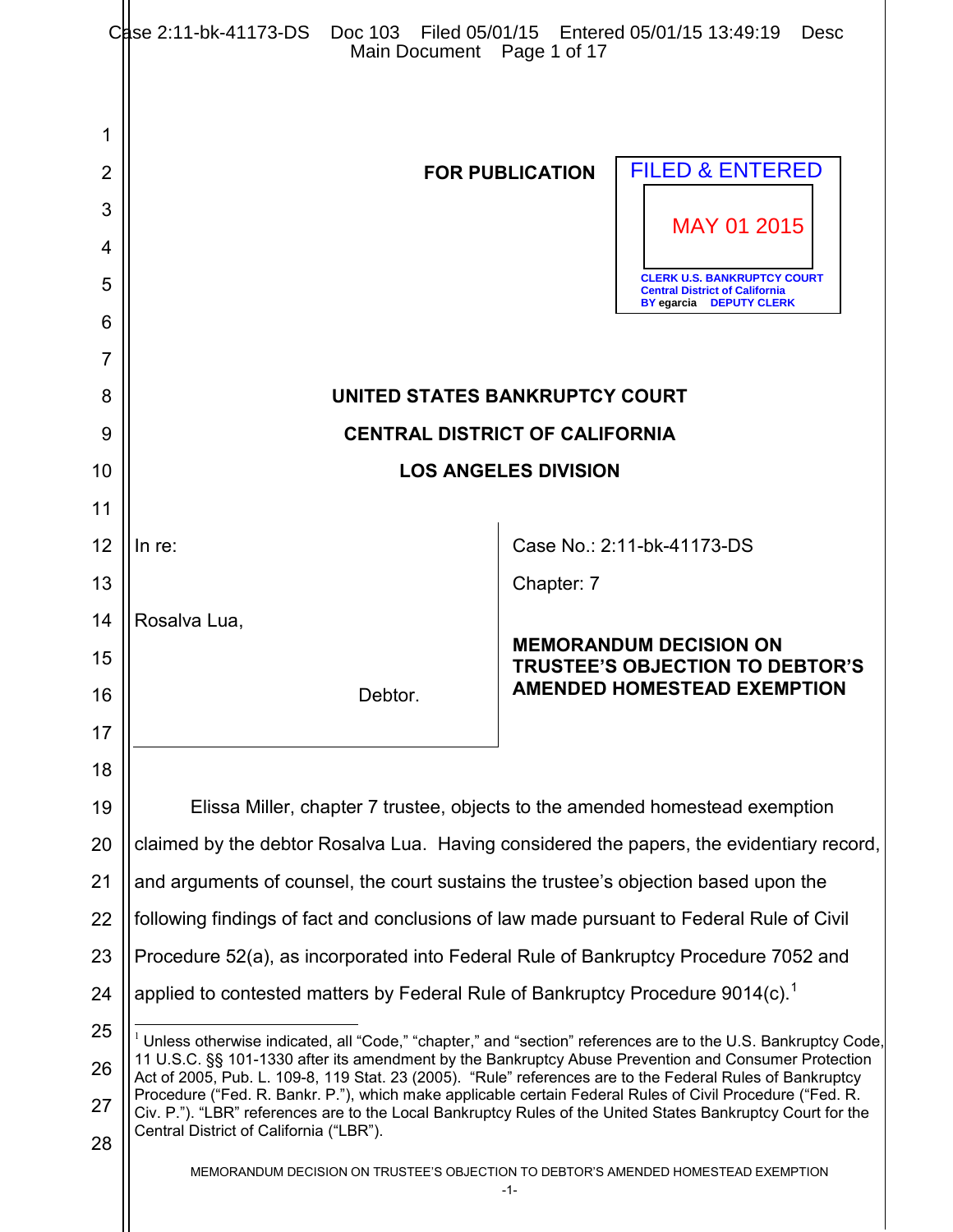|                      | Case 2:11-bk-41173-DS Doc 103 Filed 05/01/15 Entered 05/01/15 13:49:19 Desc<br>Main Document Page 1 of 17                                                                                                                                                                                                                                                                                                                                                                                                                                                                                                                                                                                          |                        |                                                                                                               |
|----------------------|----------------------------------------------------------------------------------------------------------------------------------------------------------------------------------------------------------------------------------------------------------------------------------------------------------------------------------------------------------------------------------------------------------------------------------------------------------------------------------------------------------------------------------------------------------------------------------------------------------------------------------------------------------------------------------------------------|------------------------|---------------------------------------------------------------------------------------------------------------|
| 1<br>2<br>3          |                                                                                                                                                                                                                                                                                                                                                                                                                                                                                                                                                                                                                                                                                                    | <b>FOR PUBLICATION</b> | <b>FILED &amp; ENTERED</b><br>MAY 01 2015                                                                     |
| 4<br>5<br>6<br>7     |                                                                                                                                                                                                                                                                                                                                                                                                                                                                                                                                                                                                                                                                                                    |                        | <b>CLERK U.S. BANKRUPTCY COURT</b><br><b>Central District of California</b><br><b>BY egarcia DEPUTY CLERK</b> |
| 8<br>9               | UNITED STATES BANKRUPTCY COURT<br><b>CENTRAL DISTRICT OF CALIFORNIA</b>                                                                                                                                                                                                                                                                                                                                                                                                                                                                                                                                                                                                                            |                        |                                                                                                               |
| 10<br>11             | <b>LOS ANGELES DIVISION</b>                                                                                                                                                                                                                                                                                                                                                                                                                                                                                                                                                                                                                                                                        |                        |                                                                                                               |
| 12<br>13             | In $re$ :                                                                                                                                                                                                                                                                                                                                                                                                                                                                                                                                                                                                                                                                                          | Chapter: 7             | Case No.: 2:11-bk-41173-DS                                                                                    |
| 14<br>15<br>16<br>17 | Rosalva Lua,<br>Debtor                                                                                                                                                                                                                                                                                                                                                                                                                                                                                                                                                                                                                                                                             |                        | <b>MEMORANDUM DECISION ON</b><br><b>TRUSTEE'S OBJECTION TO DEBTOR'S</b><br><b>AMENDED HOMESTEAD EXEMPTION</b> |
| 18<br>19             | Elissa Miller, chapter 7 trustee, objects to the amended homestead exemption                                                                                                                                                                                                                                                                                                                                                                                                                                                                                                                                                                                                                       |                        |                                                                                                               |
| 20                   | claimed by the debtor Rosalva Lua. Having considered the papers, the evidentiary record,                                                                                                                                                                                                                                                                                                                                                                                                                                                                                                                                                                                                           |                        |                                                                                                               |
| 21                   | and arguments of counsel, the court sustains the trustee's objection based upon the                                                                                                                                                                                                                                                                                                                                                                                                                                                                                                                                                                                                                |                        |                                                                                                               |
| 22                   | following findings of fact and conclusions of law made pursuant to Federal Rule of Civil<br>Procedure 52(a), as incorporated into Federal Rule of Bankruptcy Procedure 7052 and                                                                                                                                                                                                                                                                                                                                                                                                                                                                                                                    |                        |                                                                                                               |
| 23<br>24             | applied to contested matters by Federal Rule of Bankruptcy Procedure 9014(c). <sup>1</sup>                                                                                                                                                                                                                                                                                                                                                                                                                                                                                                                                                                                                         |                        |                                                                                                               |
| 25<br>26<br>27<br>28 | $1$ Unless otherwise indicated, all "Code," "chapter," and "section" references are to the U.S. Bankruptcy Code,<br>11 U.S.C. §§ 101-1330 after its amendment by the Bankruptcy Abuse Prevention and Consumer Protection<br>Act of 2005, Pub. L. 109-8, 119 Stat. 23 (2005). "Rule" references are to the Federal Rules of Bankruptcy<br>Procedure ("Fed. R. Bankr. P."), which make applicable certain Federal Rules of Civil Procedure ("Fed. R.<br>Civ. P."). "LBR" references are to the Local Bankruptcy Rules of the United States Bankruptcy Court for the<br>Central District of California ("LBR").<br>MEMORANDUM DECISION ON TRUSTEE'S OBJECTION TO DEBTOR'S AMENDED HOMESTEAD EXEMPTION |                        |                                                                                                               |
|                      |                                                                                                                                                                                                                                                                                                                                                                                                                                                                                                                                                                                                                                                                                                    | $-1-$                  |                                                                                                               |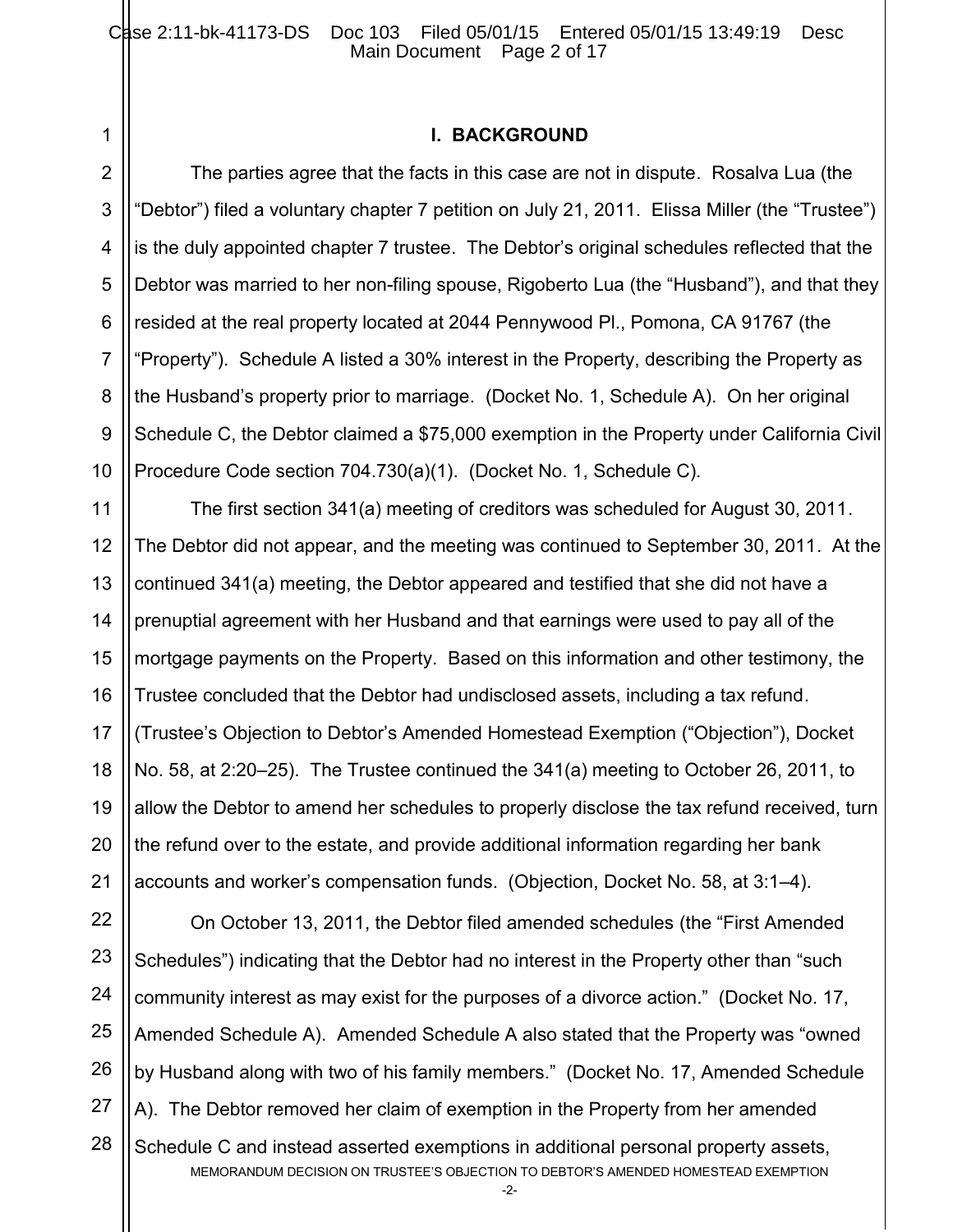1

# **I. BACKGROUND**

2 3 4 5 6 7 8 9 10 The parties agree that the facts in this case are not in dispute. Rosalva Lua (the "Debtor") filed a voluntary chapter 7 petition on July 21, 2011. Elissa Miller (the "Trustee") is the duly appointed chapter 7 trustee. The Debtor's original schedules reflected that the Debtor was married to her non-filing spouse, Rigoberto Lua (the "Husband"), and that they resided at the real property located at 2044 Pennywood Pl., Pomona, CA 91767 (the "Property"). Schedule A listed a 30% interest in the Property, describing the Property as the Husband's property prior to marriage. (Docket No. 1, Schedule A). On her original Schedule C, the Debtor claimed a \$75,000 exemption in the Property under California Civil Procedure Code section 704.730(a)(1). (Docket No. 1, Schedule C).

11 12 13 14 15 16 17 18 19 20 21 The first section 341(a) meeting of creditors was scheduled for August 30, 2011. The Debtor did not appear, and the meeting was continued to September 30, 2011. At the continued 341(a) meeting, the Debtor appeared and testified that she did not have a prenuptial agreement with her Husband and that earnings were used to pay all of the mortgage payments on the Property. Based on this information and other testimony, the Trustee concluded that the Debtor had undisclosed assets, including a tax refund. (Trustee's Objection to Debtor's Amended Homestead Exemption ("Objection"), Docket No. 58, at 2:20–25). The Trustee continued the 341(a) meeting to October 26, 2011, to allow the Debtor to amend her schedules to properly disclose the tax refund received, turn the refund over to the estate, and provide additional information regarding her bank accounts and worker's compensation funds. (Objection, Docket No. 58, at 3:1–4).

MEMORANDUM DECISION ON TRUSTEE'S OBJECTION TO DEBTOR'S AMENDED HOMESTEAD EXEMPTION 22 23 24 25 26 27 28 On October 13, 2011, the Debtor filed amended schedules (the "First Amended Schedules") indicating that the Debtor had no interest in the Property other than "such community interest as may exist for the purposes of a divorce action." (Docket No. 17, Amended Schedule A). Amended Schedule A also stated that the Property was "owned by Husband along with two of his family members." (Docket No. 17, Amended Schedule A). The Debtor removed her claim of exemption in the Property from her amended Schedule C and instead asserted exemptions in additional personal property assets,

-2-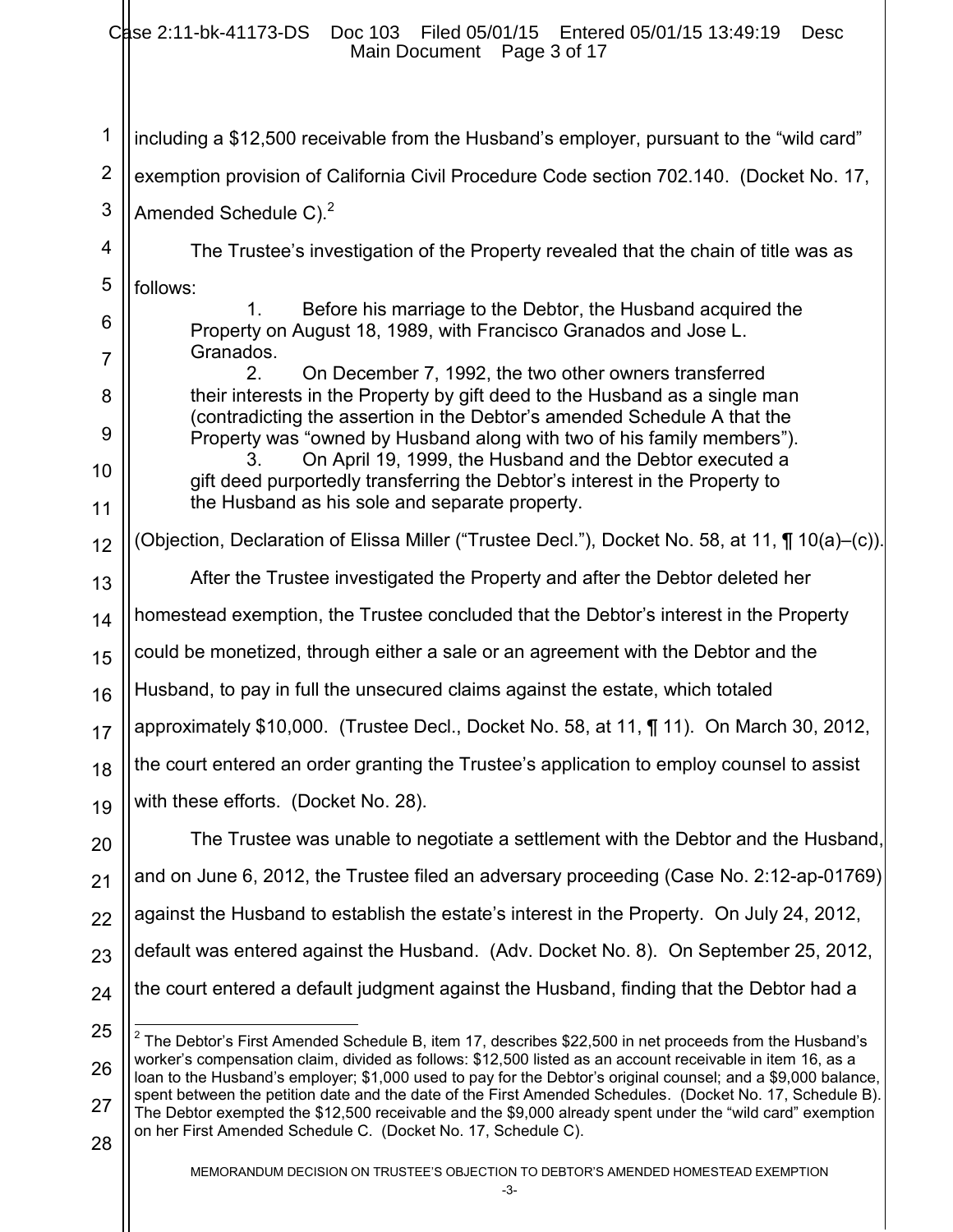#### Case 2:11-bk-41173-DS Doc 103 Filed 05/01/15 Entered 05/01/15 13:49:19 Desc Main Document Page 3 of 17

1 2 3 4 5 6 7 8 9 10 11 12 13 14 15 16 17 18 19 20 21 22 23 24 25 26 27 including a \$12,500 receivable from the Husband's employer, pursuant to the "wild card" exemption provision of California Civil Procedure Code section 702.140. (Docket No. 17, Amended Schedule C).<sup>2</sup> The Trustee's investigation of the Property revealed that the chain of title was as follows: 1. Before his marriage to the Debtor, the Husband acquired the Property on August 18, 1989, with Francisco Granados and Jose L. Granados. 2. On December 7, 1992, the two other owners transferred their interests in the Property by gift deed to the Husband as a single man (contradicting the assertion in the Debtor's amended Schedule A that the Property was "owned by Husband along with two of his family members"). 3. On April 19, 1999, the Husband and the Debtor executed a gift deed purportedly transferring the Debtor's interest in the Property to the Husband as his sole and separate property. (Objection, Declaration of Elissa Miller ("Trustee Decl."), Docket No. 58, at 11, ¶ 10(a)–(c)). After the Trustee investigated the Property and after the Debtor deleted her homestead exemption, the Trustee concluded that the Debtor's interest in the Property could be monetized, through either a sale or an agreement with the Debtor and the Husband, to pay in full the unsecured claims against the estate, which totaled approximately \$10,000. (Trustee Decl., Docket No. 58, at 11, ¶ 11). On March 30, 2012, the court entered an order granting the Trustee's application to employ counsel to assist with these efforts. (Docket No. 28). The Trustee was unable to negotiate a settlement with the Debtor and the Husband, and on June 6, 2012, the Trustee filed an adversary proceeding (Case No. 2:12-ap-01769) against the Husband to establish the estate's interest in the Property. On July 24, 2012, default was entered against the Husband. (Adv. Docket No. 8). On September 25, 2012, the court entered a default judgment against the Husband, finding that the Debtor had a  $\overline{a}$  $^{2}$  The Debtor's First Amended Schedule B, item 17, describes \$22,500 in net proceeds from the Husband's worker's compensation claim, divided as follows: \$12,500 listed as an account receivable in item 16, as a loan to the Husband's employer; \$1,000 used to pay for the Debtor's original counsel; and a \$9,000 balance, spent between the petition date and the date of the First Amended Schedules. (Docket No. 17, Schedule B). The Debtor exempted the \$12,500 receivable and the \$9,000 already spent under the "wild card" exemption on her First Amended Schedule C. (Docket No. 17, Schedule C).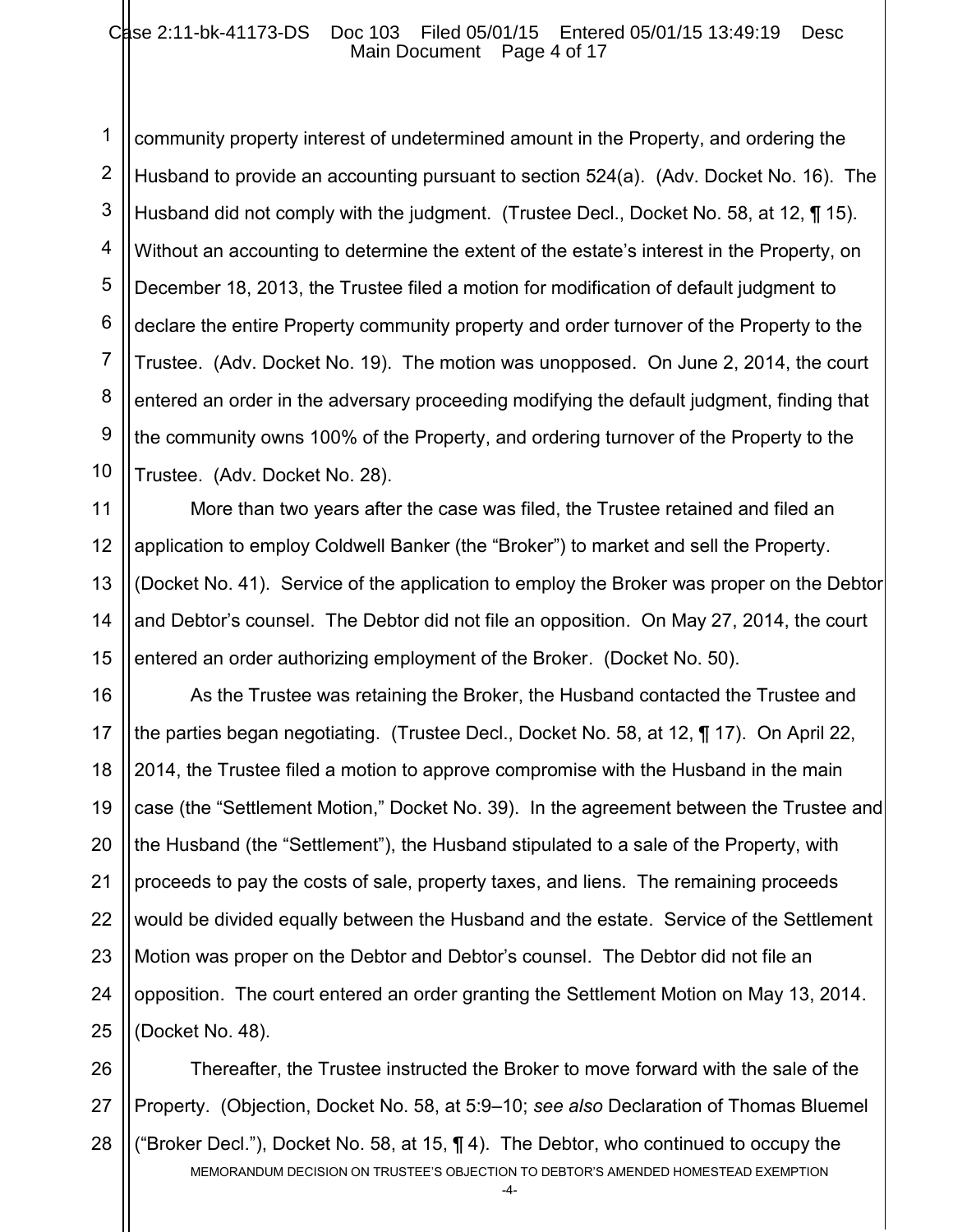#### Case 2:11-bk-41173-DS Doc 103 Filed 05/01/15 Entered 05/01/15 13:49:19 Desc Main Document Page 4 of 17

1 2 3 4 5 6 7 8 9 10 community property interest of undetermined amount in the Property, and ordering the Husband to provide an accounting pursuant to section 524(a). (Adv. Docket No. 16). The Husband did not comply with the judgment. (Trustee Decl., Docket No. 58, at 12, ¶ 15). Without an accounting to determine the extent of the estate's interest in the Property, on December 18, 2013, the Trustee filed a motion for modification of default judgment to declare the entire Property community property and order turnover of the Property to the Trustee. (Adv. Docket No. 19). The motion was unopposed. On June 2, 2014, the court entered an order in the adversary proceeding modifying the default judgment, finding that the community owns 100% of the Property, and ordering turnover of the Property to the Trustee. (Adv. Docket No. 28).

12 13 14 15 More than two years after the case was filed, the Trustee retained and filed an application to employ Coldwell Banker (the "Broker") to market and sell the Property. (Docket No. 41). Service of the application to employ the Broker was proper on the Debtor and Debtor's counsel. The Debtor did not file an opposition. On May 27, 2014, the court entered an order authorizing employment of the Broker. (Docket No. 50).

16 17 18 19 20 21 22 23 24 25 As the Trustee was retaining the Broker, the Husband contacted the Trustee and the parties began negotiating. (Trustee Decl., Docket No. 58, at 12, ¶ 17). On April 22, 2014, the Trustee filed a motion to approve compromise with the Husband in the main case (the "Settlement Motion," Docket No. 39). In the agreement between the Trustee and the Husband (the "Settlement"), the Husband stipulated to a sale of the Property, with proceeds to pay the costs of sale, property taxes, and liens. The remaining proceeds would be divided equally between the Husband and the estate. Service of the Settlement Motion was proper on the Debtor and Debtor's counsel. The Debtor did not file an opposition. The court entered an order granting the Settlement Motion on May 13, 2014. (Docket No. 48).

MEMORANDUM DECISION ON TRUSTEE'S OBJECTION TO DEBTOR'S AMENDED HOMESTEAD EXEMPTION 26 28 Thereafter, the Trustee instructed the Broker to move forward with the sale of the Property. (Objection, Docket No. 58, at 5:9–10; *see also* Declaration of Thomas Bluemel ("Broker Decl."), Docket No. 58, at 15, ¶ 4). The Debtor, who continued to occupy the

-4-

27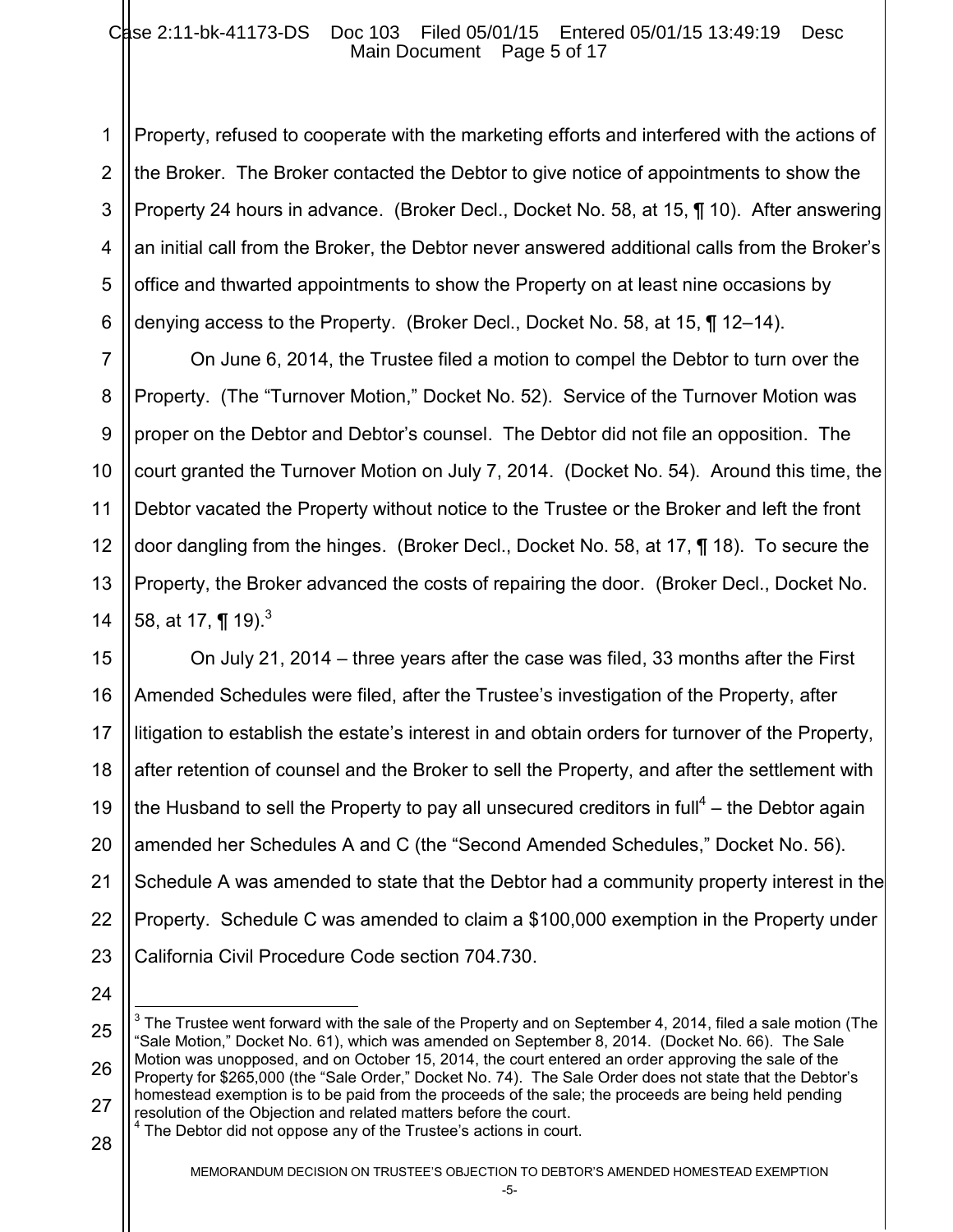# Case 2:11-bk-41173-DS Doc 103 Filed 05/01/15 Entered 05/01/15 13:49:19 Desc Main Document Page 5 of 17

1 2 3 4 5 6 Property, refused to cooperate with the marketing efforts and interfered with the actions of the Broker. The Broker contacted the Debtor to give notice of appointments to show the Property 24 hours in advance. (Broker Decl., Docket No. 58, at 15, ¶ 10). After answering an initial call from the Broker, the Debtor never answered additional calls from the Broker's office and thwarted appointments to show the Property on at least nine occasions by denying access to the Property. (Broker Decl., Docket No. 58, at 15, ¶ 12–14).

7 8 9 10 11 12 13 14 On June 6, 2014, the Trustee filed a motion to compel the Debtor to turn over the Property. (The "Turnover Motion," Docket No. 52). Service of the Turnover Motion was proper on the Debtor and Debtor's counsel. The Debtor did not file an opposition. The court granted the Turnover Motion on July 7, 2014. (Docket No. 54). Around this time, the Debtor vacated the Property without notice to the Trustee or the Broker and left the front door dangling from the hinges. (Broker Decl., Docket No. 58, at 17, ¶ 18). To secure the Property, the Broker advanced the costs of repairing the door. (Broker Decl., Docket No. 58, at 17,  $\P$  19).<sup>3</sup>

15 16 17 18 19 20 21 22 23 On July 21, 2014 – three years after the case was filed, 33 months after the First Amended Schedules were filed, after the Trustee's investigation of the Property, after litigation to establish the estate's interest in and obtain orders for turnover of the Property, after retention of counsel and the Broker to sell the Property, and after the settlement with the Husband to sell the Property to pay all unsecured creditors in full<sup>4</sup> – the Debtor again amended her Schedules A and C (the "Second Amended Schedules," Docket No. 56). Schedule A was amended to state that the Debtor had a community property interest in the Property. Schedule C was amended to claim a \$100,000 exemption in the Property under California Civil Procedure Code section 704.730.

24

<sup>25</sup> 26 27  $\overline{a}$  $^3$  The Trustee went forward with the sale of the Property and on September 4, 2014, filed a sale motion (The "Sale Motion," Docket No. 61), which was amended on September 8, 2014. (Docket No. 66). The Sale Motion was unopposed, and on October 15, 2014, the court entered an order approving the sale of the Property for \$265,000 (the "Sale Order," Docket No. 74). The Sale Order does not state that the Debtor's homestead exemption is to be paid from the proceeds of the sale; the proceeds are being held pending resolution of the Objection and related matters before the court. 4 The Debtor did not oppose any of the Trustee's actions in court.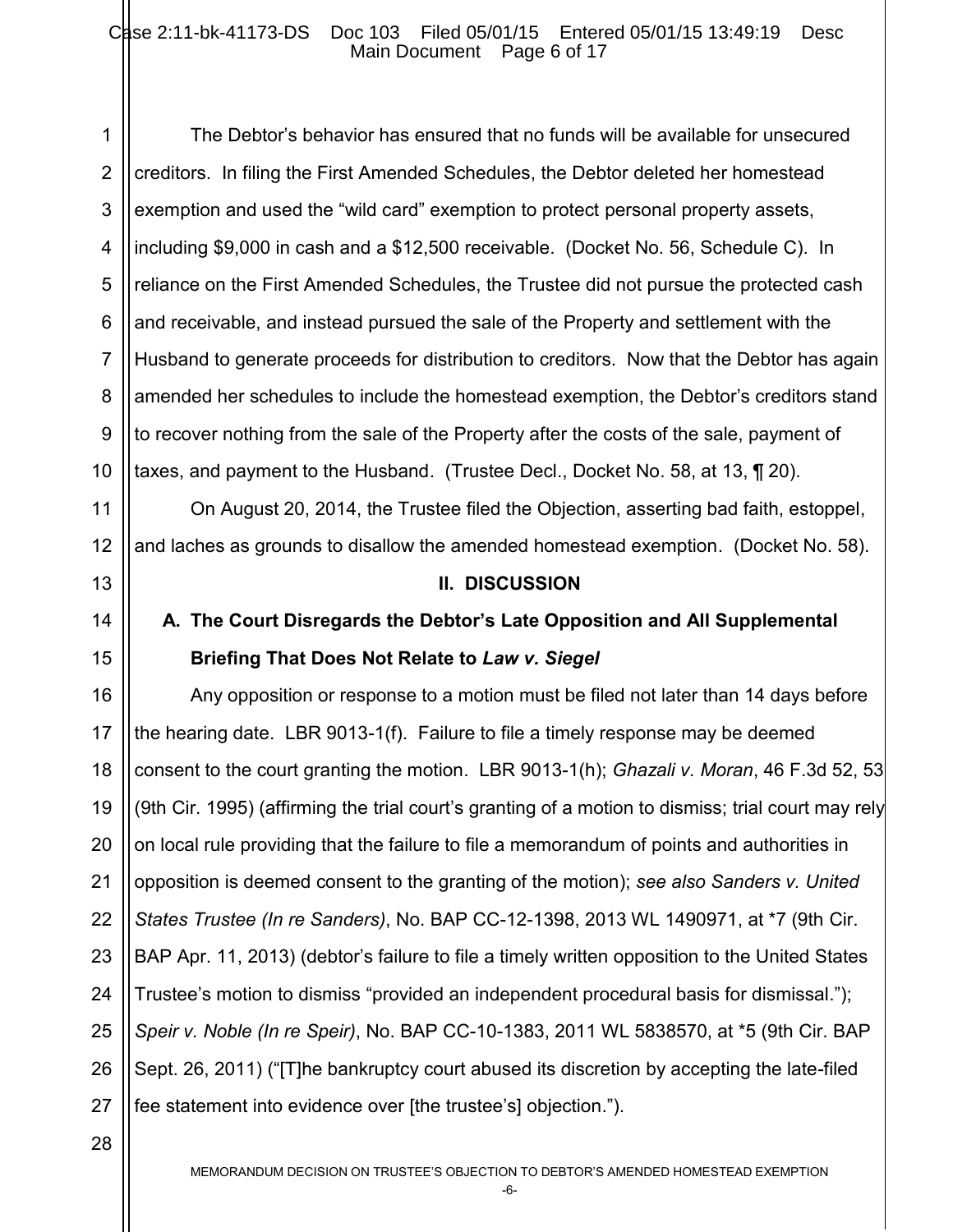# Case 2:11-bk-41173-DS Doc 103 Filed 05/01/15 Entered 05/01/15 13:49:19 Desc Main Document Page 6 of 17

1 2 3 4 5 6 7 8 9 10 The Debtor's behavior has ensured that no funds will be available for unsecured creditors. In filing the First Amended Schedules, the Debtor deleted her homestead exemption and used the "wild card" exemption to protect personal property assets, including \$9,000 in cash and a \$12,500 receivable. (Docket No. 56, Schedule C). In reliance on the First Amended Schedules, the Trustee did not pursue the protected cash and receivable, and instead pursued the sale of the Property and settlement with the Husband to generate proceeds for distribution to creditors. Now that the Debtor has again amended her schedules to include the homestead exemption, the Debtor's creditors stand to recover nothing from the sale of the Property after the costs of the sale, payment of taxes, and payment to the Husband. (Trustee Decl., Docket No. 58, at 13, ¶ 20).

On August 20, 2014, the Trustee filed the Objection, asserting bad faith, estoppel, and laches as grounds to disallow the amended homestead exemption. (Docket No. 58).

#### **II. DISCUSSION**

# **A. The Court Disregards the Debtor's Late Opposition and All Supplemental Briefing That Does Not Relate to** *Law v. Siegel*

16 17 18 19 20 21 22 23 24 25 26 27 Any opposition or response to a motion must be filed not later than 14 days before the hearing date. LBR 9013-1(f). Failure to file a timely response may be deemed consent to the court granting the motion. LBR 9013-1(h); *Ghazali v. Moran*, 46 F.3d 52, 53 (9th Cir. 1995) (affirming the trial court's granting of a motion to dismiss; trial court may rely on local rule providing that the failure to file a memorandum of points and authorities in opposition is deemed consent to the granting of the motion); *see also Sanders v. United States Trustee (In re Sanders)*, No. BAP CC-12-1398, 2013 WL 1490971, at \*7 (9th Cir. BAP Apr. 11, 2013) (debtor's failure to file a timely written opposition to the United States Trustee's motion to dismiss "provided an independent procedural basis for dismissal."); *Speir v. Noble (In re Speir)*, No. BAP CC-10-1383, 2011 WL 5838570, at \*5 (9th Cir. BAP Sept. 26, 2011) ("[T]he bankruptcy court abused its discretion by accepting the late-filed fee statement into evidence over [the trustee's] objection.").

28

11

12

13

14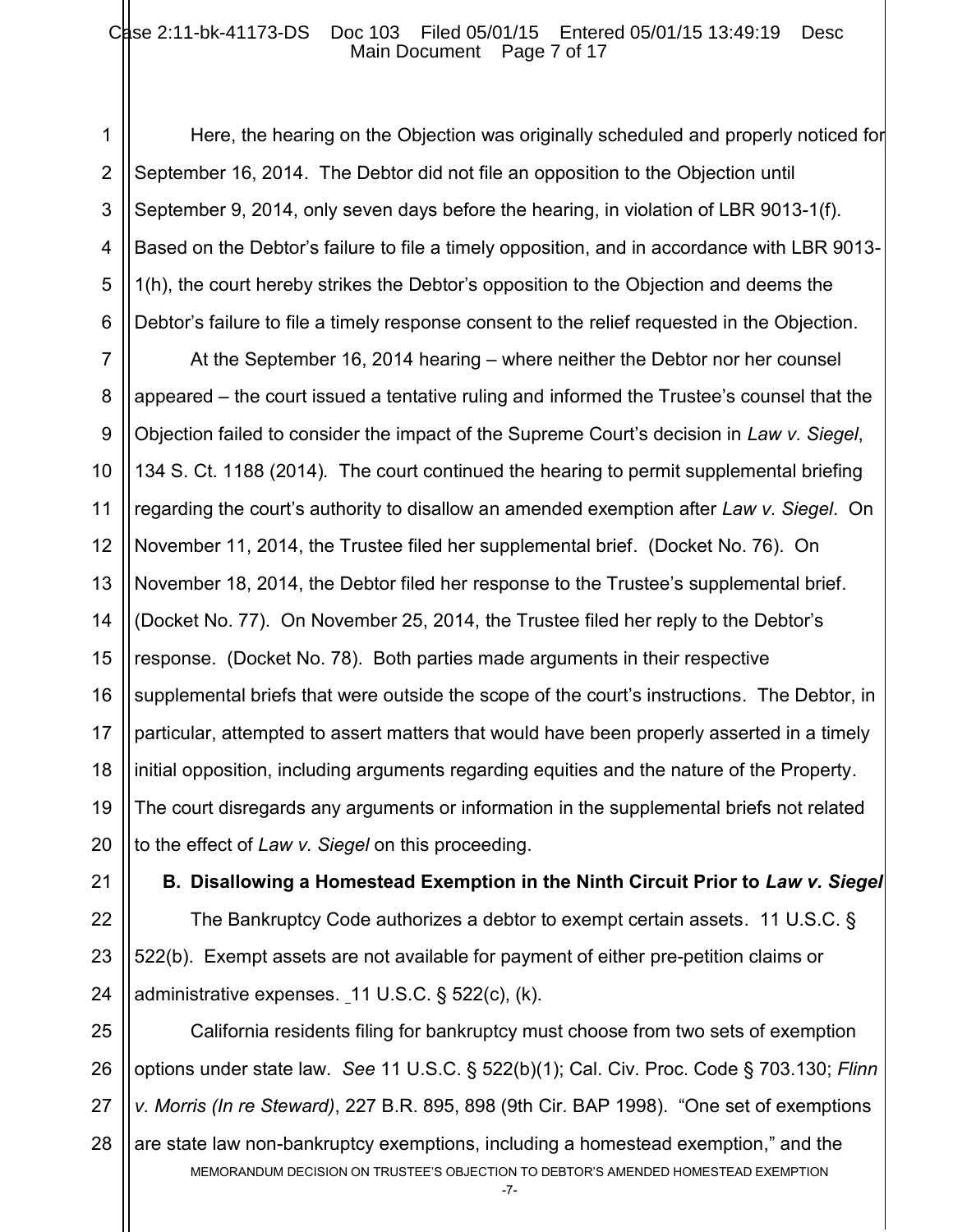# Case 2:11-bk-41173-DS Doc 103 Filed 05/01/15 Entered 05/01/15 13:49:19 Desc Main Document Page 7 of 17

1 2 3 4 5 6 Here, the hearing on the Objection was originally scheduled and properly noticed for September 16, 2014. The Debtor did not file an opposition to the Objection until September 9, 2014, only seven days before the hearing, in violation of LBR 9013-1(f). Based on the Debtor's failure to file a timely opposition, and in accordance with LBR 9013- 1(h), the court hereby strikes the Debtor's opposition to the Objection and deems the Debtor's failure to file a timely response consent to the relief requested in the Objection.

7 8 9 10 11 12 13 14 15 16 17 18 19 20 At the September 16, 2014 hearing – where neither the Debtor nor her counsel appeared – the court issued a tentative ruling and informed the Trustee's counsel that the Objection failed to consider the impact of the Supreme Court's decision in *Law v. Siegel*, 134 S. Ct. 1188 (2014)*.* The court continued the hearing to permit supplemental briefing regarding the court's authority to disallow an amended exemption after *Law v. Siegel*. On November 11, 2014, the Trustee filed her supplemental brief. (Docket No. 76). On November 18, 2014, the Debtor filed her response to the Trustee's supplemental brief. (Docket No. 77). On November 25, 2014, the Trustee filed her reply to the Debtor's response. (Docket No. 78). Both parties made arguments in their respective supplemental briefs that were outside the scope of the court's instructions. The Debtor, in particular, attempted to assert matters that would have been properly asserted in a timely initial opposition, including arguments regarding equities and the nature of the Property. The court disregards any arguments or information in the supplemental briefs not related to the effect of *Law v. Siegel* on this proceeding.

**B. Disallowing a Homestead Exemption in the Ninth Circuit Prior to** *Law v. Siegel* The Bankruptcy Code authorizes a debtor to exempt certain assets. 11 U.S.C. § 522(b). Exempt assets are not available for payment of either pre-petition claims or administrative expenses. 11 U.S.C. § 522(c), (k).

21

22

23

24

MEMORANDUM DECISION ON TRUSTEE'S OBJECTION TO DEBTOR'S AMENDED HOMESTEAD EXEMPTION -7- 25 26 27 28 California residents filing for bankruptcy must choose from two sets of exemption options under state law. *See* 11 U.S.C. § 522(b)(1); Cal. Civ. Proc. Code § 703.130; *Flinn v. Morris (In re Steward)*, 227 B.R. 895, 898 (9th Cir. BAP 1998). "One set of exemptions are state law non-bankruptcy exemptions, including a homestead exemption," and the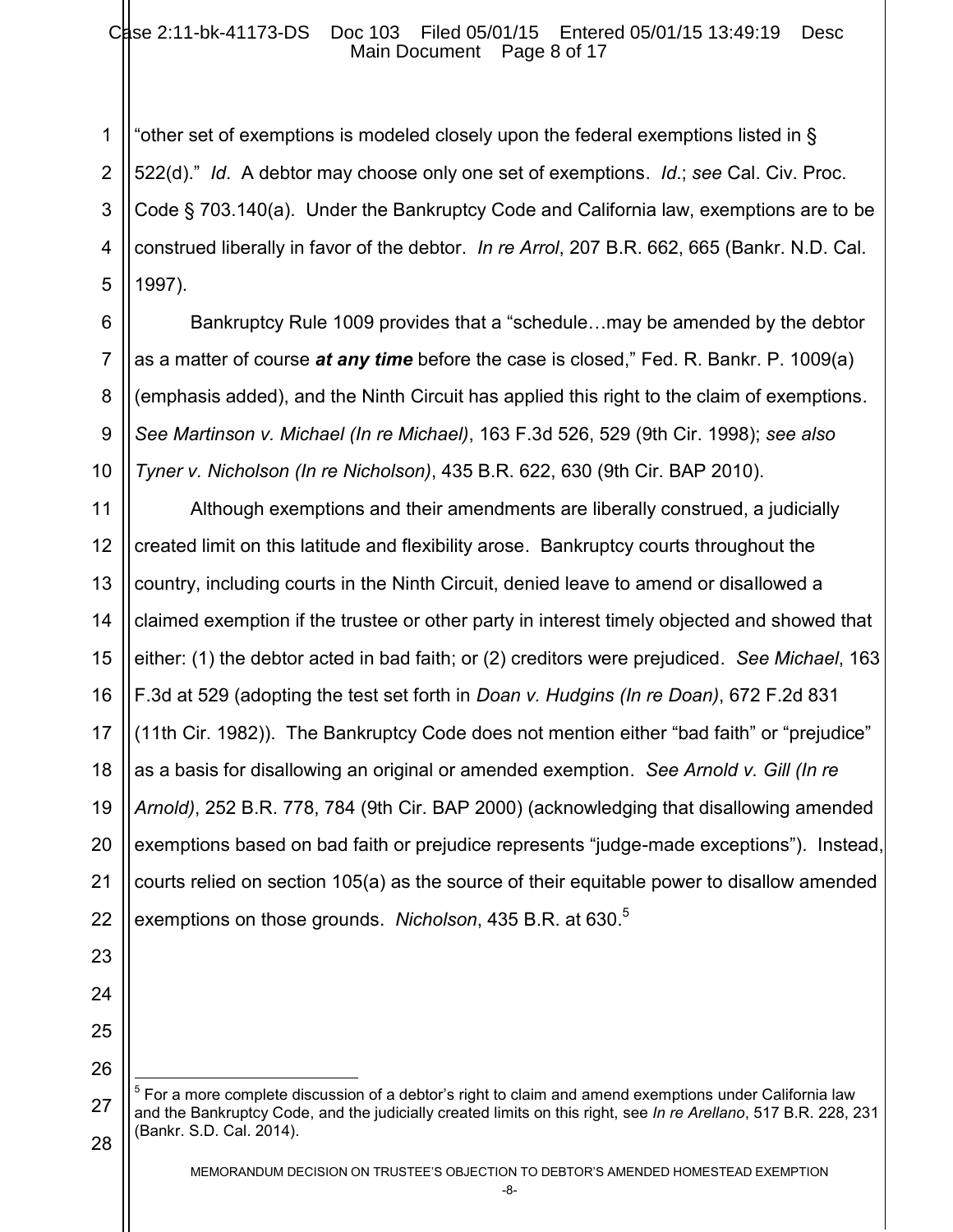# Case 2:11-bk-41173-DS Doc 103 Filed 05/01/15 Entered 05/01/15 13:49:19 Desc Main Document Page 8 of 17

1 2 3 4 5 "other set of exemptions is modeled closely upon the federal exemptions listed in § 522(d)." *Id*. A debtor may choose only one set of exemptions. *Id*.; *see* Cal. Civ. Proc. Code § 703.140(a). Under the Bankruptcy Code and California law, exemptions are to be construed liberally in favor of the debtor. *In re Arrol*, 207 B.R. 662, 665 (Bankr. N.D. Cal. 1997).

Bankruptcy Rule 1009 provides that a "schedule…may be amended by the debtor as a matter of course *at any time* before the case is closed," Fed. R. Bankr. P. 1009(a) (emphasis added), and the Ninth Circuit has applied this right to the claim of exemptions. *See Martinson v. Michael (In re Michael)*, 163 F.3d 526, 529 (9th Cir. 1998); *see also Tyner v. Nicholson (In re Nicholson)*, 435 B.R. 622, 630 (9th Cir. BAP 2010).

11 12 13 14 15 16 17 18 19 20 21 22 Although exemptions and their amendments are liberally construed, a judicially created limit on this latitude and flexibility arose. Bankruptcy courts throughout the country, including courts in the Ninth Circuit, denied leave to amend or disallowed a claimed exemption if the trustee or other party in interest timely objected and showed that either: (1) the debtor acted in bad faith; or (2) creditors were prejudiced. *See Michael*, 163 F.3d at 529 (adopting the test set forth in *Doan v. Hudgins (In re Doan)*, 672 F.2d 831 (11th Cir. 1982)). The Bankruptcy Code does not mention either "bad faith" or "prejudice" as a basis for disallowing an original or amended exemption. *See Arnold v. Gill (In re Arnold)*, 252 B.R. 778, 784 (9th Cir. BAP 2000) (acknowledging that disallowing amended exemptions based on bad faith or prejudice represents "judge-made exceptions"). Instead, courts relied on section 105(a) as the source of their equitable power to disallow amended exemptions on those grounds. *Nicholson*, 435 B.R. at 630.<sup>5</sup>

24 25

26

23

6

7

8

9

<sup>27</sup> 28  $\overline{a}$  $5$  For a more complete discussion of a debtor's right to claim and amend exemptions under California law and the Bankruptcy Code, and the judicially created limits on this right, see *In re Arellano*, 517 B.R. 228, 231 (Bankr. S.D. Cal. 2014).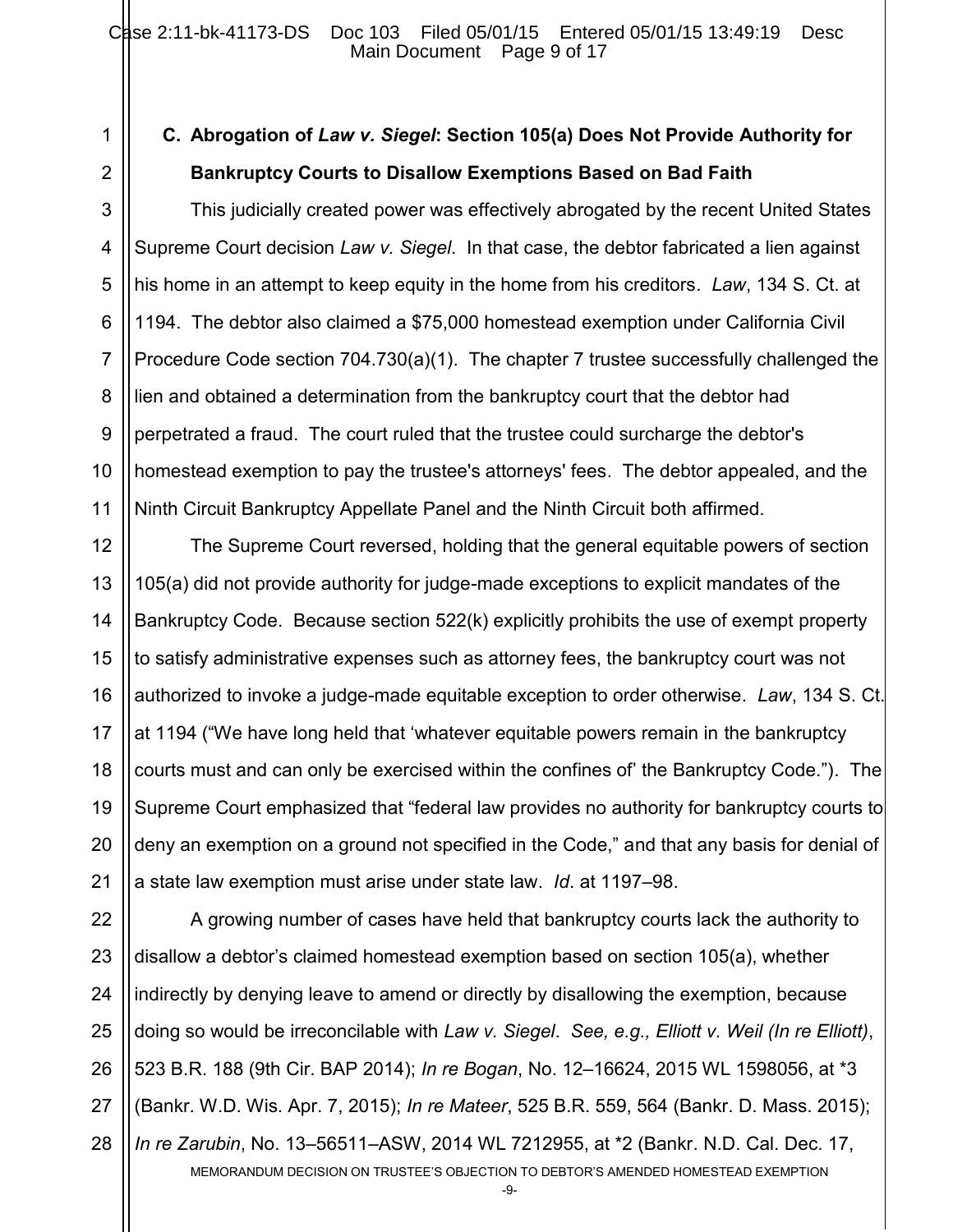1

2

**C. Abrogation of** *Law v. Siegel***: Section 105(a) Does Not Provide Authority for Bankruptcy Courts to Disallow Exemptions Based on Bad Faith**

3 4 5 6 7 8 9 10 11 This judicially created power was effectively abrogated by the recent United States Supreme Court decision *Law v. Siegel*. In that case, the debtor fabricated a lien against his home in an attempt to keep equity in the home from his creditors. *Law*, 134 S. Ct. at 1194. The debtor also claimed a \$75,000 homestead exemption under California Civil Procedure Code section 704.730(a)(1). The chapter 7 trustee successfully challenged the lien and obtained a determination from the bankruptcy court that the debtor had perpetrated a fraud. The court ruled that the trustee could surcharge the debtor's homestead exemption to pay the trustee's attorneys' fees. The debtor appealed, and the Ninth Circuit Bankruptcy Appellate Panel and the Ninth Circuit both affirmed.

12 13 14 15 16 17 18 19 20 21 The Supreme Court reversed, holding that the general equitable powers of section 105(a) did not provide authority for judge-made exceptions to explicit mandates of the Bankruptcy Code. Because section 522(k) explicitly prohibits the use of exempt property to satisfy administrative expenses such as attorney fees, the bankruptcy court was not authorized to invoke a judge-made equitable exception to order otherwise. *Law*, 134 S. Ct. at 1194 ("We have long held that 'whatever equitable powers remain in the bankruptcy courts must and can only be exercised within the confines of' the Bankruptcy Code."). The Supreme Court emphasized that "federal law provides no authority for bankruptcy courts to deny an exemption on a ground not specified in the Code," and that any basis for denial of a state law exemption must arise under state law. *Id*. at 1197–98.

MEMORANDUM DECISION ON TRUSTEE'S OBJECTION TO DEBTOR'S AMENDED HOMESTEAD EXEMPTION 22 23 24 25 26 27 28 A growing number of cases have held that bankruptcy courts lack the authority to disallow a debtor's claimed homestead exemption based on section 105(a), whether indirectly by denying leave to amend or directly by disallowing the exemption, because doing so would be irreconcilable with *Law v. Siegel*. *See, e.g., Elliott v. Weil (In re Elliott)*, 523 B.R. 188 (9th Cir. BAP 2014); *In re Bogan*, No. 12–16624, 2015 WL 1598056, at \*3 (Bankr. W.D. Wis. Apr. 7, 2015); *In re Mateer*, 525 B.R. 559, 564 (Bankr. D. Mass. 2015); *In re Zarubin*, No. 13–56511–ASW, 2014 WL 7212955, at \*2 (Bankr. N.D. Cal. Dec. 17,

-9-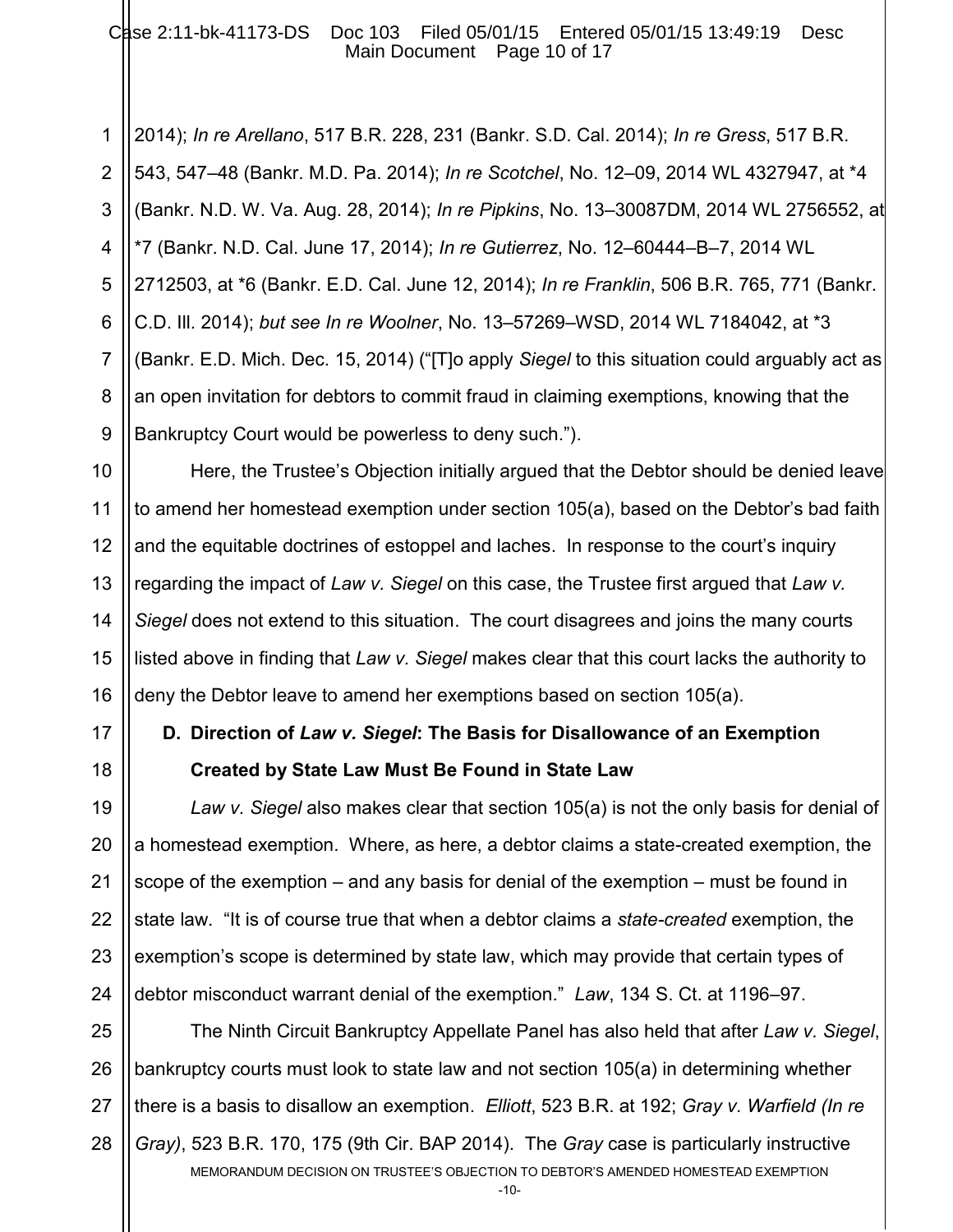# Case 2:11-bk-41173-DS Doc 103 Filed 05/01/15 Entered 05/01/15 13:49:19 Desc Main Document Page 10 of 17

1 2 3 4 5 6 2014); *In re Arellano*, 517 B.R. 228, 231 (Bankr. S.D. Cal. 2014); *In re Gress*, 517 B.R. 543, 547–48 (Bankr. M.D. Pa. 2014); *In re Scotchel*, No. 12–09, 2014 WL 4327947, at \*4 (Bankr. N.D. W. Va. Aug. 28, 2014); *In re Pipkins*, No. 13–30087DM, 2014 WL 2756552, at \*7 (Bankr. N.D. Cal. June 17, 2014); *In re Gutierrez*, No. 12–60444–B–7, 2014 WL 2712503, at \*6 (Bankr. E.D. Cal. June 12, 2014); *In re Franklin*, 506 B.R. 765, 771 (Bankr. C.D. Ill. 2014); *but see In re Woolner*, No. 13–57269–WSD, 2014 WL 7184042, at \*3 (Bankr. E.D. Mich. Dec. 15, 2014) ("[T]o apply *Siegel* to this situation could arguably act as an open invitation for debtors to commit fraud in claiming exemptions, knowing that the Bankruptcy Court would be powerless to deny such.").

Here, the Trustee's Objection initially argued that the Debtor should be denied leave to amend her homestead exemption under section 105(a), based on the Debtor's bad faith and the equitable doctrines of estoppel and laches. In response to the court's inquiry regarding the impact of *Law v. Siegel* on this case, the Trustee first argued that *Law v. Siegel* does not extend to this situation. The court disagrees and joins the many courts listed above in finding that *Law v. Siegel* makes clear that this court lacks the authority to deny the Debtor leave to amend her exemptions based on section 105(a).

**D. Direction of** *Law v. Siegel***: The Basis for Disallowance of an Exemption Created by State Law Must Be Found in State Law**

*Law v. Siegel* also makes clear that section 105(a) is not the only basis for denial of a homestead exemption. Where, as here, a debtor claims a state-created exemption, the scope of the exemption – and any basis for denial of the exemption – must be found in state law. "It is of course true that when a debtor claims a *state-created* exemption, the exemption's scope is determined by state law, which may provide that certain types of debtor misconduct warrant denial of the exemption." *Law*, 134 S. Ct. at 1196–97.

MEMORANDUM DECISION ON TRUSTEE'S OBJECTION TO DEBTOR'S AMENDED HOMESTEAD EXEMPTION 27 28 The Ninth Circuit Bankruptcy Appellate Panel has also held that after *Law v. Siegel*, bankruptcy courts must look to state law and not section 105(a) in determining whether there is a basis to disallow an exemption. *Elliott*, 523 B.R. at 192; *Gray v. Warfield (In re Gray)*, 523 B.R. 170, 175 (9th Cir. BAP 2014). The *Gray* case is particularly instructive

-10-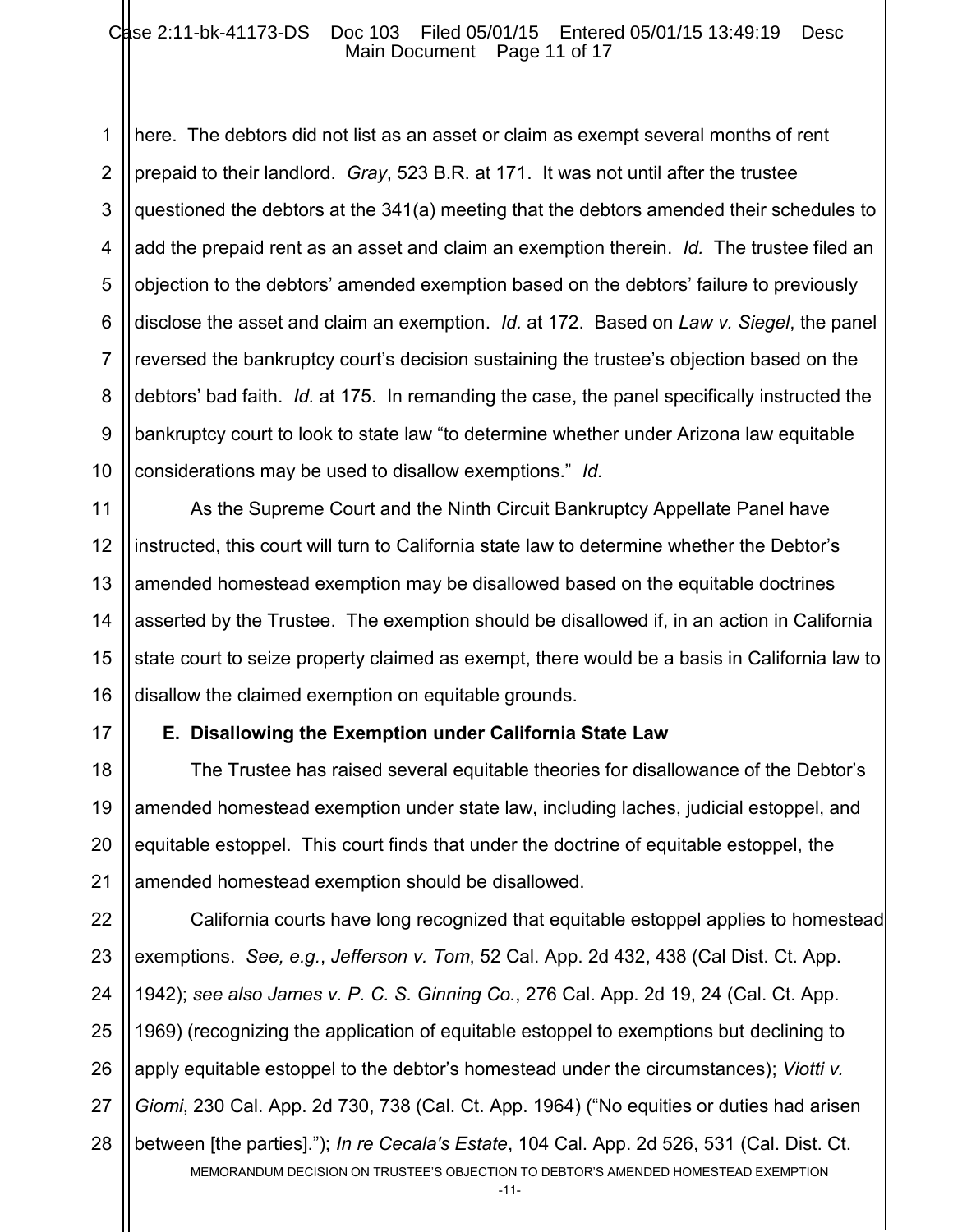# Case 2:11-bk-41173-DS Doc 103 Filed 05/01/15 Entered 05/01/15 13:49:19 Desc Main Document Page 11 of 17

1 2 3 4 5 6 7 8 9 10 here. The debtors did not list as an asset or claim as exempt several months of rent prepaid to their landlord. *Gray*, 523 B.R. at 171. It was not until after the trustee questioned the debtors at the 341(a) meeting that the debtors amended their schedules to add the prepaid rent as an asset and claim an exemption therein. *Id.* The trustee filed an objection to the debtors' amended exemption based on the debtors' failure to previously disclose the asset and claim an exemption. *Id.* at 172. Based on *Law v. Siegel*, the panel reversed the bankruptcy court's decision sustaining the trustee's objection based on the debtors' bad faith. *Id.* at 175. In remanding the case, the panel specifically instructed the bankruptcy court to look to state law "to determine whether under Arizona law equitable considerations may be used to disallow exemptions." *Id.*

11 As the Supreme Court and the Ninth Circuit Bankruptcy Appellate Panel have instructed, this court will turn to California state law to determine whether the Debtor's amended homestead exemption may be disallowed based on the equitable doctrines asserted by the Trustee. The exemption should be disallowed if, in an action in California state court to seize property claimed as exempt, there would be a basis in California law to disallow the claimed exemption on equitable grounds.

# **E. Disallowing the Exemption under California State Law**

The Trustee has raised several equitable theories for disallowance of the Debtor's amended homestead exemption under state law, including laches, judicial estoppel, and equitable estoppel. This court finds that under the doctrine of equitable estoppel, the amended homestead exemption should be disallowed.

MEMORANDUM DECISION ON TRUSTEE'S OBJECTION TO DEBTOR'S AMENDED HOMESTEAD EXEMPTION -11- 22 23 24 25 26 27 28 California courts have long recognized that equitable estoppel applies to homestead exemptions. *See, e.g.*, *Jefferson v. Tom*, 52 Cal. App. 2d 432, 438 (Cal Dist. Ct. App. 1942); *see also James v. P. C. S. Ginning Co.*, 276 Cal. App. 2d 19, 24 (Cal. Ct. App. 1969) (recognizing the application of equitable estoppel to exemptions but declining to apply equitable estoppel to the debtor's homestead under the circumstances); *Viotti v. Giomi*, 230 Cal. App. 2d 730, 738 (Cal. Ct. App. 1964) ("No equities or duties had arisen between [the parties]."); *In re Cecala's Estate*, 104 Cal. App. 2d 526, 531 (Cal. Dist. Ct.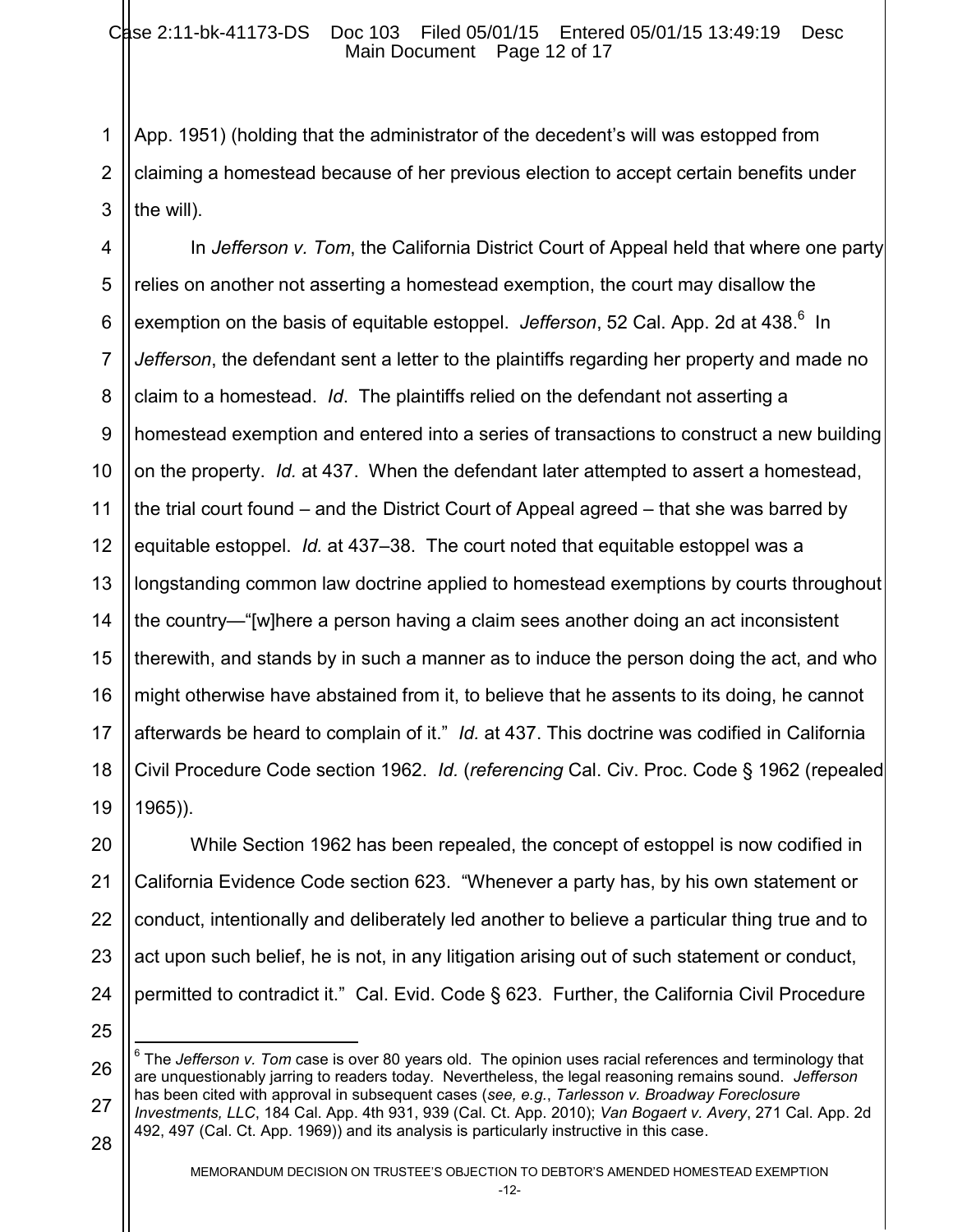1 2 3 App. 1951) (holding that the administrator of the decedent's will was estopped from claiming a homestead because of her previous election to accept certain benefits under the will).

4 5 6 7 8 9 10 11 12 13 14 15 16 17 18 19 In *Jefferson v. Tom*, the California District Court of Appeal held that where one party relies on another not asserting a homestead exemption, the court may disallow the exemption on the basis of equitable estoppel. Jefferson, 52 Cal. App. 2d at 438.<sup>6</sup> In *Jefferson*, the defendant sent a letter to the plaintiffs regarding her property and made no claim to a homestead. *Id*. The plaintiffs relied on the defendant not asserting a homestead exemption and entered into a series of transactions to construct a new building on the property. *Id.* at 437. When the defendant later attempted to assert a homestead, the trial court found – and the District Court of Appeal agreed – that she was barred by equitable estoppel. *Id.* at 437–38. The court noted that equitable estoppel was a longstanding common law doctrine applied to homestead exemptions by courts throughout the country—"[w]here a person having a claim sees another doing an act inconsistent therewith, and stands by in such a manner as to induce the person doing the act, and who might otherwise have abstained from it, to believe that he assents to its doing, he cannot afterwards be heard to complain of it." *Id.* at 437. This doctrine was codified in California Civil Procedure Code section 1962. *Id.* (*referencing* Cal. Civ. Proc. Code § 1962 (repealed 1965)).

20 21 22 23 24 While Section 1962 has been repealed, the concept of estoppel is now codified in California Evidence Code section 623. "Whenever a party has, by his own statement or conduct, intentionally and deliberately led another to believe a particular thing true and to act upon such belief, he is not, in any litigation arising out of such statement or conduct, permitted to contradict it." Cal. Evid. Code § 623. Further, the California Civil Procedure

25

 $\overline{\phantom{a}}$ 

26

27

28 492, 497 (Cal. Ct. App. 1969)) and its analysis is particularly instructive in this case.

<sup>&</sup>lt;sup>6</sup> The *Jefferson v. Tom* case is over 80 years old. The opinion uses racial references and terminology that are unquestionably jarring to readers today. Nevertheless, the legal reasoning remains sound. *Jefferson* has been cited with approval in subsequent cases (*see, e.g.*, *Tarlesson v. Broadway Foreclosure Investments, LLC*, 184 Cal. App. 4th 931, 939 (Cal. Ct. App. 2010); *Van Bogaert v. Avery*, 271 Cal. App. 2d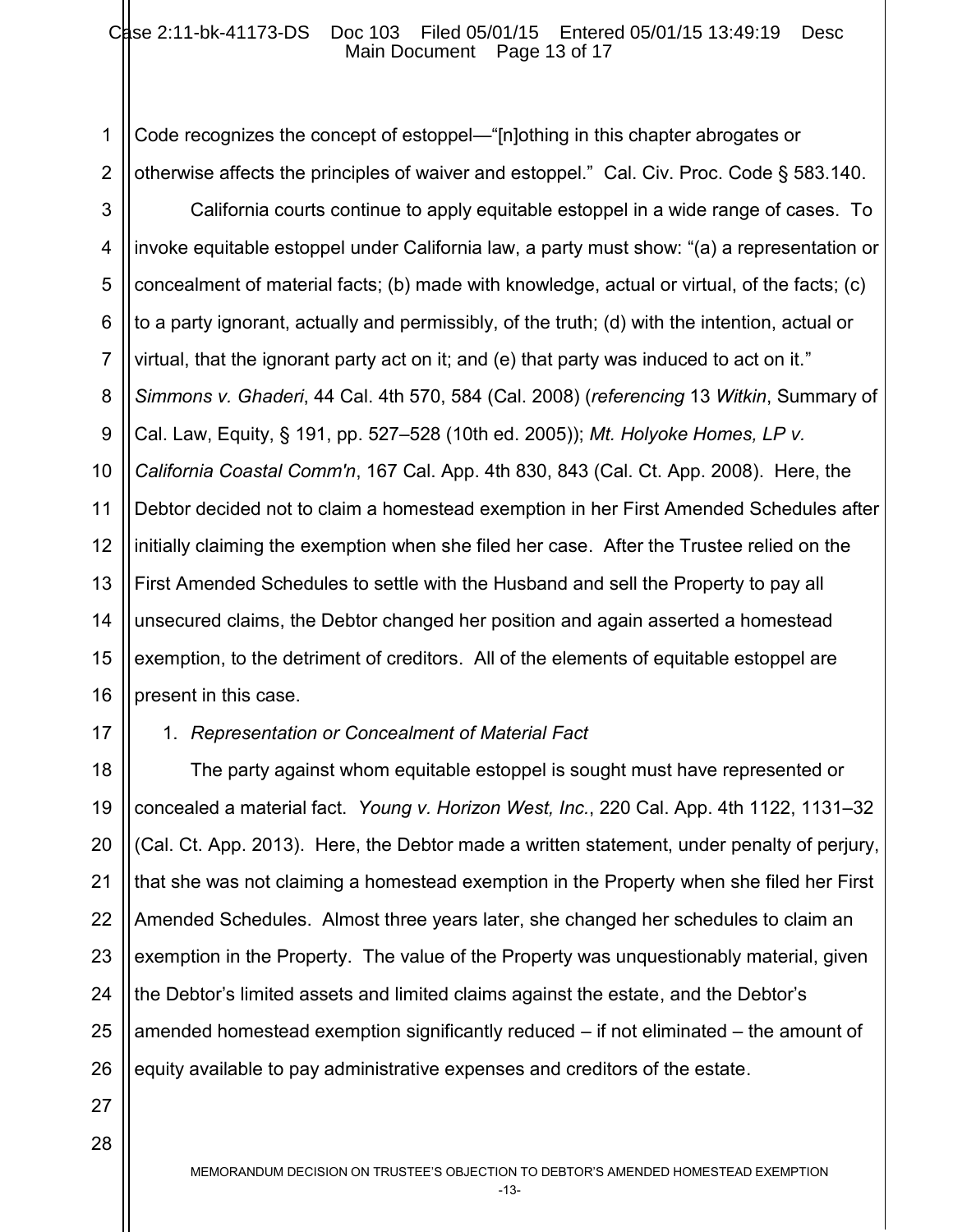# Case 2:11-bk-41173-DS Doc 103 Filed 05/01/15 Entered 05/01/15 13:49:19 Desc Main Document Page 13 of 17

1 2 3 4 5 6 7 8 9 10 11 12 13 14 15 16 Code recognizes the concept of estoppel—"[n]othing in this chapter abrogates or otherwise affects the principles of waiver and estoppel." Cal. Civ. Proc. Code § 583.140. California courts continue to apply equitable estoppel in a wide range of cases. To invoke equitable estoppel under California law, a party must show: "(a) a representation or concealment of material facts; (b) made with knowledge, actual or virtual, of the facts; (c) to a party ignorant, actually and permissibly, of the truth; (d) with the intention, actual or virtual, that the ignorant party act on it; and (e) that party was induced to act on it." *Simmons v. Ghaderi*, 44 Cal. 4th 570, 584 (Cal. 2008) (*referencing* 13 *Witkin*, Summary of Cal. Law, Equity, § 191, pp. 527–528 (10th ed. 2005)); *Mt. Holyoke Homes, LP v. California Coastal Comm'n*, 167 Cal. App. 4th 830, 843 (Cal. Ct. App. 2008). Here, the Debtor decided not to claim a homestead exemption in her First Amended Schedules after initially claiming the exemption when she filed her case. After the Trustee relied on the First Amended Schedules to settle with the Husband and sell the Property to pay all unsecured claims, the Debtor changed her position and again asserted a homestead exemption, to the detriment of creditors. All of the elements of equitable estoppel are present in this case.

1. *Representation or Concealment of Material Fact*

18 19 20 21 22 23 24 25 26 The party against whom equitable estoppel is sought must have represented or concealed a material fact. *Young v. Horizon West, Inc.*, 220 Cal. App. 4th 1122, 1131–32 (Cal. Ct. App. 2013). Here, the Debtor made a written statement, under penalty of perjury, that she was not claiming a homestead exemption in the Property when she filed her First Amended Schedules. Almost three years later, she changed her schedules to claim an exemption in the Property. The value of the Property was unquestionably material, given the Debtor's limited assets and limited claims against the estate, and the Debtor's amended homestead exemption significantly reduced – if not eliminated – the amount of equity available to pay administrative expenses and creditors of the estate.

27 28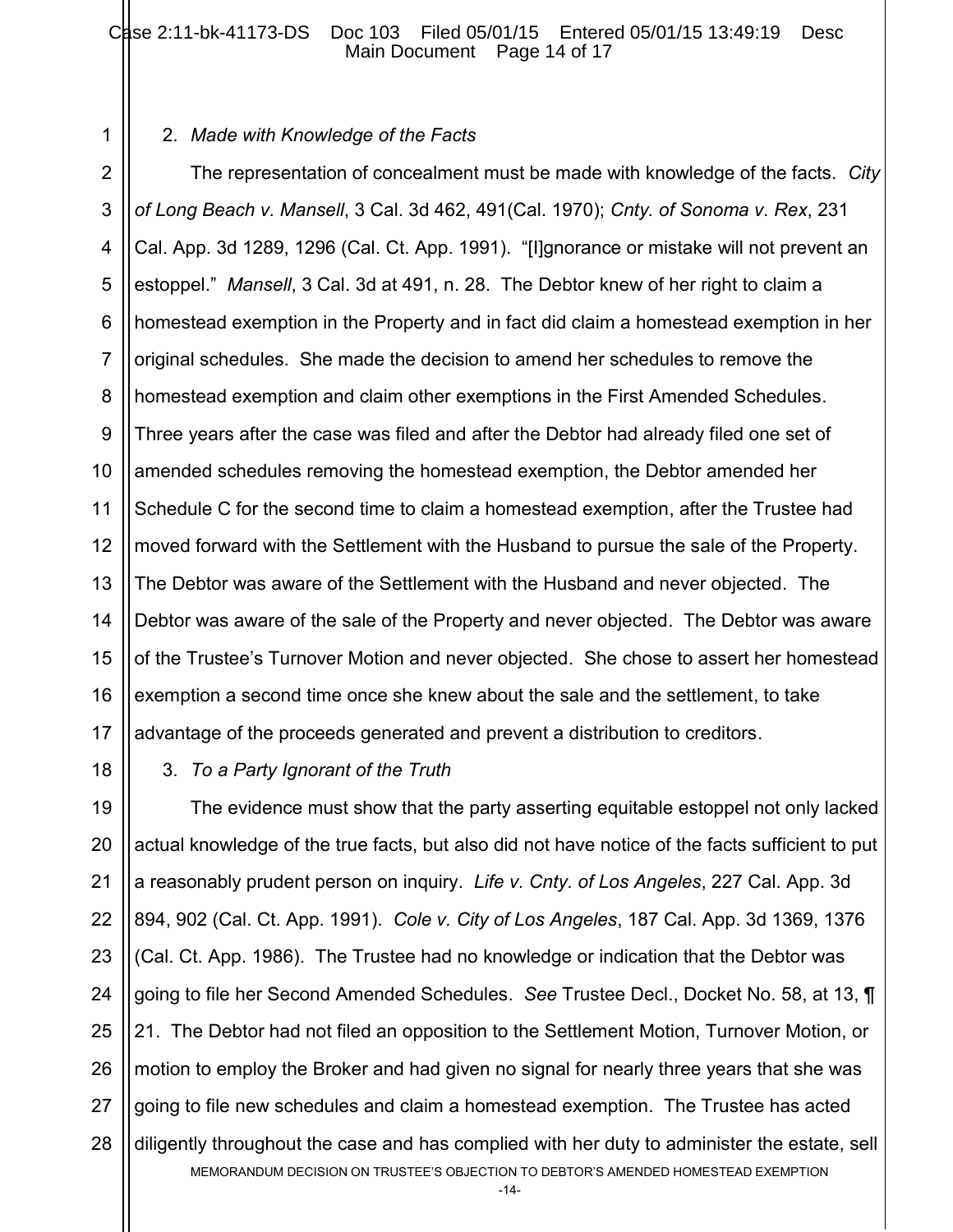## Case 2:11-bk-41173-DS Doc 103 Filed 05/01/15 Entered 05/01/15 13:49:19 Desc Main Document Page 14 of 17

# 2. *Made with Knowledge of the Facts*

1

18

2 3 4 5 6 7 8 9 10 11 12 13 14 15 16 17 The representation of concealment must be made with knowledge of the facts. *City of Long Beach v. Mansell*, 3 Cal. 3d 462, 491(Cal. 1970); *Cnty. of Sonoma v. Rex*, 231 Cal. App. 3d 1289, 1296 (Cal. Ct. App. 1991). "[I]gnorance or mistake will not prevent an estoppel." *Mansell*, 3 Cal. 3d at 491, n. 28. The Debtor knew of her right to claim a homestead exemption in the Property and in fact did claim a homestead exemption in her original schedules. She made the decision to amend her schedules to remove the homestead exemption and claim other exemptions in the First Amended Schedules. Three years after the case was filed and after the Debtor had already filed one set of amended schedules removing the homestead exemption, the Debtor amended her Schedule C for the second time to claim a homestead exemption, after the Trustee had moved forward with the Settlement with the Husband to pursue the sale of the Property. The Debtor was aware of the Settlement with the Husband and never objected. The Debtor was aware of the sale of the Property and never objected. The Debtor was aware of the Trustee's Turnover Motion and never objected. She chose to assert her homestead exemption a second time once she knew about the sale and the settlement, to take advantage of the proceeds generated and prevent a distribution to creditors.

# 3. *To a Party Ignorant of the Truth*

MEMORANDUM DECISION ON TRUSTEE'S OBJECTION TO DEBTOR'S AMENDED HOMESTEAD EXEMPTION 19 20 21 22 23 24 25 26 27 28 The evidence must show that the party asserting equitable estoppel not only lacked actual knowledge of the true facts, but also did not have notice of the facts sufficient to put a reasonably prudent person on inquiry. *Life v. Cnty. of Los Angeles*, 227 Cal. App. 3d 894, 902 (Cal. Ct. App. 1991). *Cole v. City of Los Angeles*, 187 Cal. App. 3d 1369, 1376 (Cal. Ct. App. 1986). The Trustee had no knowledge or indication that the Debtor was going to file her Second Amended Schedules. *See* Trustee Decl., Docket No. 58, at 13, ¶ 21. The Debtor had not filed an opposition to the Settlement Motion, Turnover Motion, or motion to employ the Broker and had given no signal for nearly three years that she was going to file new schedules and claim a homestead exemption. The Trustee has acted diligently throughout the case and has complied with her duty to administer the estate, sell

-14-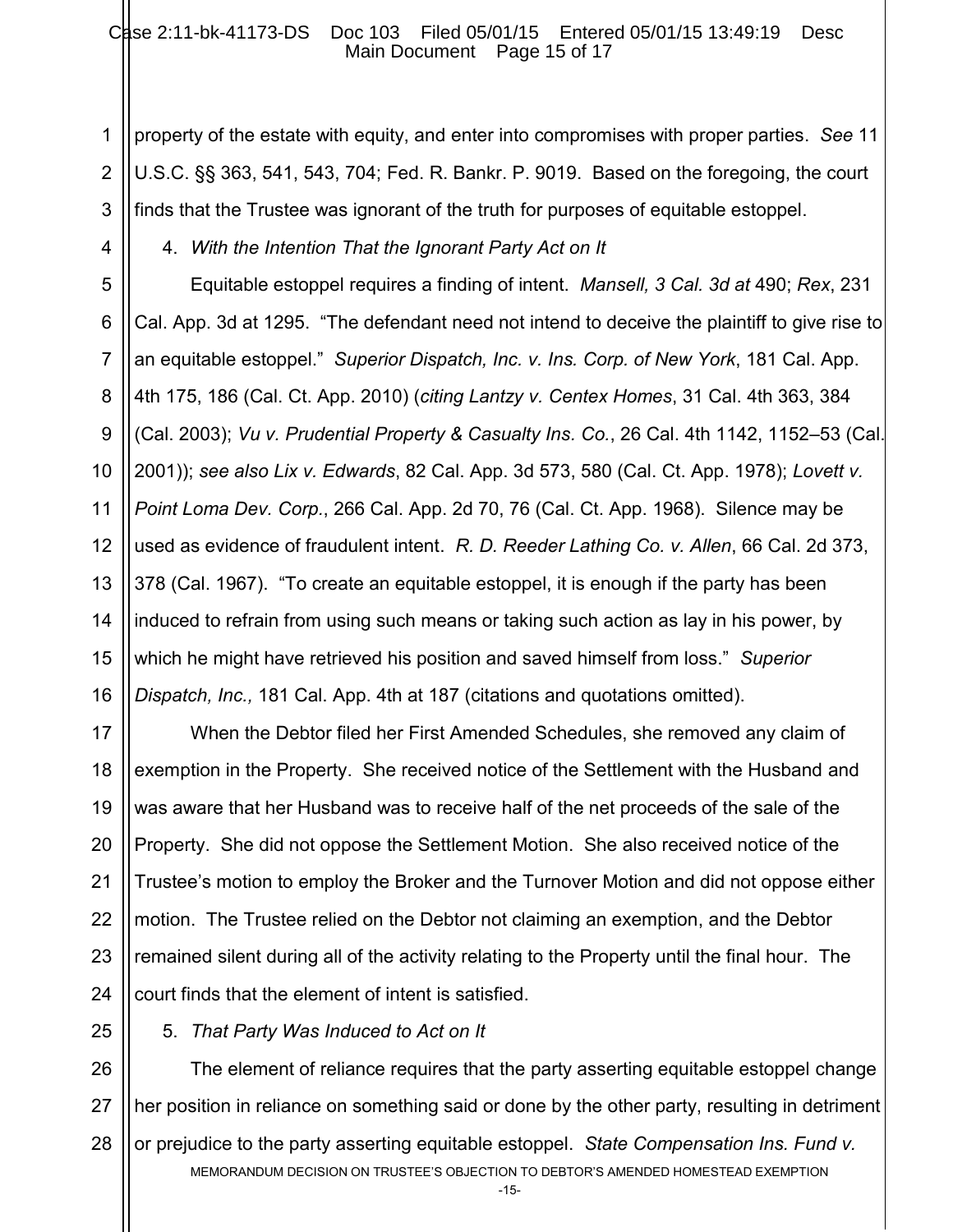1 2 3 property of the estate with equity, and enter into compromises with proper parties. *See* 11 U.S.C. §§ 363, 541, 543, 704; Fed. R. Bankr. P. 9019. Based on the foregoing, the court finds that the Trustee was ignorant of the truth for purposes of equitable estoppel.

4

4. *With the Intention That the Ignorant Party Act on It*

5 6 7 8 9 10 11 12 13 14 15 16 Equitable estoppel requires a finding of intent. *Mansell, 3 Cal. 3d at* 490; *Rex*, 231 Cal. App. 3d at 1295. "The defendant need not intend to deceive the plaintiff to give rise to an equitable estoppel." *Superior Dispatch, Inc. v. Ins. Corp. of New York*, 181 Cal. App. 4th 175, 186 (Cal. Ct. App. 2010) (*citing Lantzy v. Centex Homes*, 31 Cal. 4th 363, 384 (Cal. 2003); *Vu v. Prudential Property & Casualty Ins. Co.*, 26 Cal. 4th 1142, 1152–53 (Cal. 2001)); *see also Lix v. Edwards*, 82 Cal. App. 3d 573, 580 (Cal. Ct. App. 1978); *Lovett v. Point Loma Dev. Corp.*, 266 Cal. App. 2d 70, 76 (Cal. Ct. App. 1968). Silence may be used as evidence of fraudulent intent. *R. D. Reeder Lathing Co. v. Allen*, 66 Cal. 2d 373, 378 (Cal. 1967). "To create an equitable estoppel, it is enough if the party has been induced to refrain from using such means or taking such action as lay in his power, by which he might have retrieved his position and saved himself from loss." *Superior Dispatch, Inc.,* 181 Cal. App. 4th at 187 (citations and quotations omitted).

17 18 19 20 21 22 23 24 When the Debtor filed her First Amended Schedules, she removed any claim of exemption in the Property. She received notice of the Settlement with the Husband and was aware that her Husband was to receive half of the net proceeds of the sale of the Property. She did not oppose the Settlement Motion. She also received notice of the Trustee's motion to employ the Broker and the Turnover Motion and did not oppose either motion. The Trustee relied on the Debtor not claiming an exemption, and the Debtor remained silent during all of the activity relating to the Property until the final hour. The court finds that the element of intent is satisfied.

25

5. *That Party Was Induced to Act on It*

MEMORANDUM DECISION ON TRUSTEE'S OBJECTION TO DEBTOR'S AMENDED HOMESTEAD EXEMPTION 26 27 28 The element of reliance requires that the party asserting equitable estoppel change her position in reliance on something said or done by the other party, resulting in detriment or prejudice to the party asserting equitable estoppel. *State Compensation Ins. Fund v.* 

-15-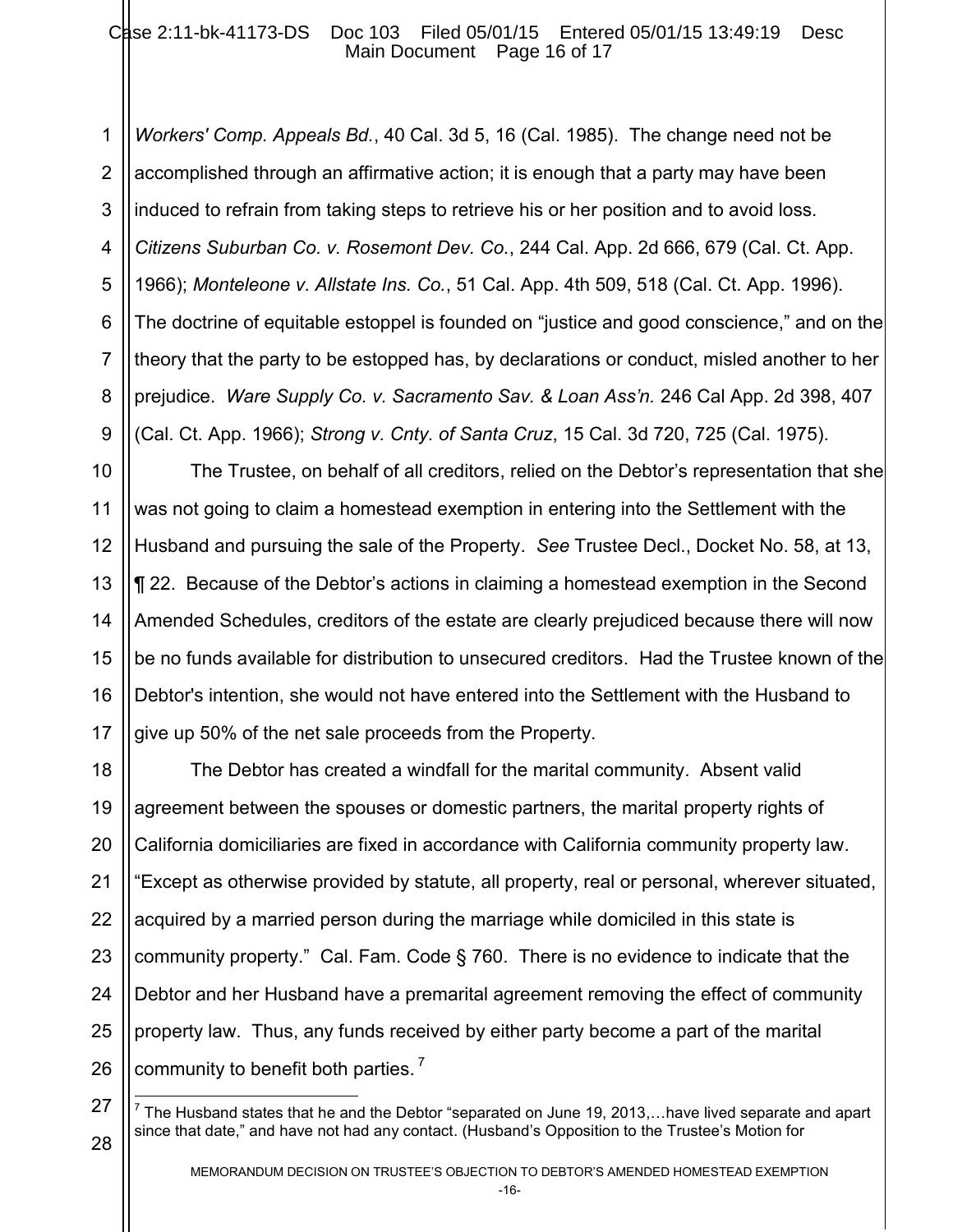# Case 2:11-bk-41173-DS Doc 103 Filed 05/01/15 Entered 05/01/15 13:49:19 Desc Main Document Page 16 of 17

1 2 3 4 5 6 7 8 9 *Workers' Comp. Appeals Bd.*, 40 Cal. 3d 5, 16 (Cal. 1985). The change need not be accomplished through an affirmative action; it is enough that a party may have been induced to refrain from taking steps to retrieve his or her position and to avoid loss. *Citizens Suburban Co. v. Rosemont Dev. Co.*, 244 Cal. App. 2d 666, 679 (Cal. Ct. App. 1966); *Monteleone v. Allstate Ins. Co.*, 51 Cal. App. 4th 509, 518 (Cal. Ct. App. 1996). The doctrine of equitable estoppel is founded on "justice and good conscience," and on the theory that the party to be estopped has, by declarations or conduct, misled another to her prejudice. *Ware Supply Co. v. Sacramento Sav. & Loan Ass'n.* 246 Cal App. 2d 398, 407 (Cal. Ct. App. 1966); *Strong v. Cnty. of Santa Cruz*, 15 Cal. 3d 720, 725 (Cal. 1975).

10 11 12 13 14 15 16 17 The Trustee, on behalf of all creditors, relied on the Debtor's representation that she was not going to claim a homestead exemption in entering into the Settlement with the Husband and pursuing the sale of the Property. *See* Trustee Decl., Docket No. 58, at 13, ¶ 22. Because of the Debtor's actions in claiming a homestead exemption in the Second Amended Schedules, creditors of the estate are clearly prejudiced because there will now be no funds available for distribution to unsecured creditors. Had the Trustee known of the Debtor's intention, she would not have entered into the Settlement with the Husband to give up 50% of the net sale proceeds from the Property.

18 19 20 21 22 23 24 25 26 The Debtor has created a windfall for the marital community. Absent valid agreement between the spouses or domestic partners, the marital property rights of California domiciliaries are fixed in accordance with California community property law. "Except as otherwise provided by statute, all property, real or personal, wherever situated, acquired by a married person during the marriage while domiciled in this state is community property." Cal. Fam. Code § 760. There is no evidence to indicate that the Debtor and her Husband have a premarital agreement removing the effect of community property law. Thus, any funds received by either party become a part of the marital community to benefit both parties.<sup>7</sup>

27

 $\overline{a}$ 7 The Husband states that he and the Debtor "separated on June 19, 2013,…have lived separate and apart since that date," and have not had any contact. (Husband's Opposition to the Trustee's Motion for